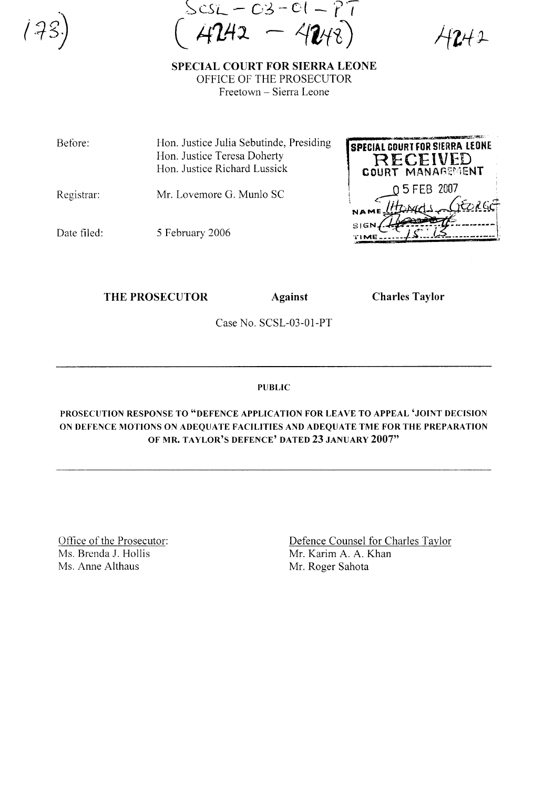sL - 03 - 01 - PT<br>**r242 — 42**48)

 $242$ 

SPECIAL COURT FOR SIERRA LEONE OFFICE OF THE PROSECUTOR Freetown - Sierra Leone

Before: Hon. Justice Julia Sebutinde, Presiding Hon. Justice Teresa Doherty Hon. Justice Richard Lussick

Registrar: Mr. Lovemore G. Munlo SC

Date filed:

5 February 2006

THE PROSECUTOR Against Charles Taylor

,-,

'JIIO  $\overline{\mathbf{M}}$ 

.. H"..\_ ....\_F''4..... l'''..i....~am.a.~~~r;.~~· **SPICIAL COUR1 FOR** SIERRA LfDNE RECEIVED COURT MANAGEMENT , \ 5 FEB 2007, :  $\frac{05 \text{ FEB}}{05 \text{ FEB}}$  2007

SIGN ./-I-.\_-;.::~(.:::\_-\_.\_*..\_-\.* TI

~~---~~\_.---- **\_\_** t.

....\_.\_~.

Case No. SCSL-03-01-PT

PUBLIC

PROSECUTION RESPONSE TO "DEFENCE APPLICATION FOR LEAVE TO APPEAL 'JOINT DECISION ON DEFENCE MOTIONS ON ADEQUATE FACILITIES AND ADEQUATE TME FOR THE PREPARATION OF MR. TAYLOR'S DEFENCE' DATED 23 JANUARY 2007"

Office of the Prosecutor: Ms. Brenda J. Hollis Ms. Anne Althaus

Defence Counsel for Charles Taylor Mr. Karim A. A. Khan Mr. Roger Sahota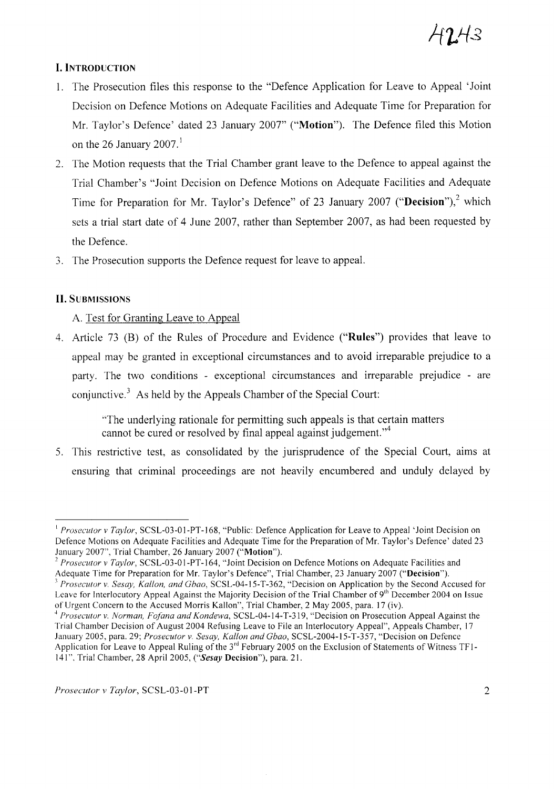# **I. INTRODUCTION**

- 1. The Prosecution files this response to the "Defence Application for Leave to Appeal 'Joint Decision on Defence Motions on Adequate Facilities and Adequate Time for Preparation for Mr. Taylor's Defence' dated 23 January 2007" ("Motion"). The Defence filed this Motion on the 26 January 2007.<sup>1</sup>
- 2. The Motion requests that the Trial Chamber grant leave to the Defence to appeal against the Trial Chamber's "Joint Decision on Defence Motions on Adequate Facilities and Adequate Time for Preparation for Mr. Taylor's Defence" of 23 January 2007 ("Decision"),<sup>2</sup> which sets a trial start date of 4 June 2007, rather than September 2007, as had been requested by the Defence.
- 3. The Prosecution supports the Defence request for leave to appeal.

# **II.** SUBMISSIONS

## A. Test for Granting Leave to Appeal

4. Article 73 (B) of the Rules of Procedure and Evidence ("Rules") provides that leave to appeal may be granted in exceptional circumstances and to avoid irreparable prejudice to a party. The two conditions - exceptional circumstances and irreparable prejudice - are conjunctive.<sup>3</sup> As held by the Appeals Chamber of the Special Court:

> "The underlying rationale for permitting such appeals is that certain matters cannot be cured or resolved by final appeal against judgement."<sup>4</sup>

5. This restrictive test, as consolidated by the jurisprudence of the Special Court, alms at ensuring that criminal proceedings are not heavily encumbered and unduly delayed by

<sup>&</sup>lt;sup>1</sup> Prosecutor v Taylor, SCSL-03-01-PT-168, "Public: Defence Application for Leave to Appeal 'Joint Decision on Defence Motions on Adequate Facilities and Adequate Time for the Preparation of Mr. Taylor's Defence' dated 23 January 2007", Trial Chamber, 26 January 2007 ("Motion").

<sup>&</sup>lt;sup>2</sup> Prosecutor v Taylor, SCSL-03-01-PT-164, "Joint Decision on Defence Motions on Adequate Facilities and Adequate Time for Preparation for Mr. Taylor's Defence'', Trial Chamber, 23 January 2007 ("**Decision**").

*<sup>3</sup> Prosecutor* v. *Sesay, Kallon, and Chao,* SCSL-04-15-T-362, "Decision on Application by the Second Accused for Leave for Interlocutory Appeal Against the Majority Decision of the Trial Chamber of 9<sup>th</sup> December 2004 on Issue of Urgent Concern to the Accused Morris Kallon", Trial Chamber, 2 May 2005, para. 17 (iv).

<sup>4</sup> *Prosecutor* v. *Norman, Fo/ana and Kondewa,* SCSL-04-14-*T-319,* "Decision on Prosecution Appeal Against the Trial Chamber Decision of August 2004 Refusing Leave to File an Interlocutory Appeal", Appeals Chamber, 17 January 2005, para. 29; *Prosecutor* v. *Sesay, Kallon and Chao,* SCSL-2004-15-T-357, "Decision on Defence Application for Leave to Appeal Ruling of the 3<sup>rd</sup> February 2005 on the Exclusion of Statements of Witness TF1-141", Trial Chamber, 28 April 2005, ("Sesay Decision"), para. 21.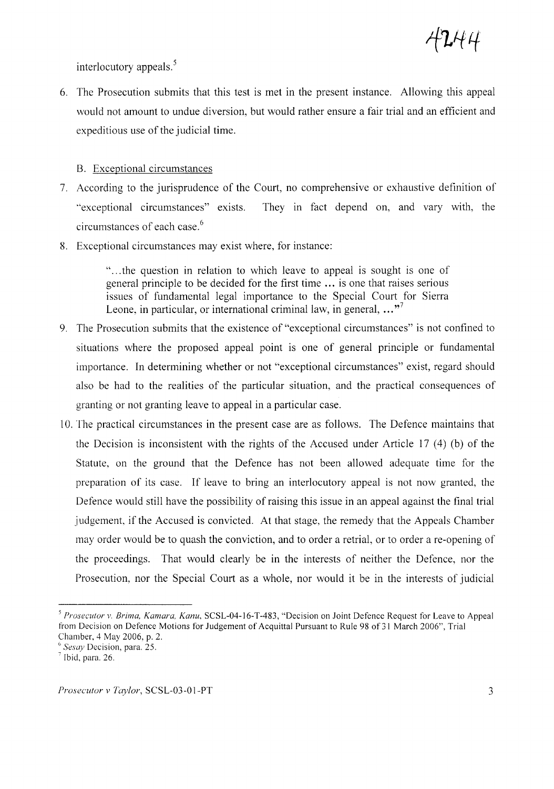$^{\iota}$ L $^{\mu}$ H

interlocutory appeals. $5$ 

6. The Prosecution submits that this test is met in the present instance. Allowing this appeal would not amount to undue diversion, but would rather ensure a fair trial and an efficient and expeditious use of the judicial time.

### B. Exceptional circumstances

- 7. According to the jurisprudence of the Court, no comprehensive or exhaustive definition of "exceptional circumstances" exists. circumstances of each case. 6 They in fact depend on, and vary with, the
- 8. Exceptional circumstances may exist where, for instance:

"... the question in relation to which leave to appeal is sought is one of general principle to be decided for the first time ... is one that raises serious issues of fundamental legal importance to the Special Court for Sierra Leone, in particular, or international criminal law, in general,  $...$ <sup>7</sup>

- 9. The Prosecution submits that the existence of "exceptional circumstances" is not confined to situations where the proposed appeal point is one of general principle or fundamental importance. In determining whether or not "exceptional circumstances" exist, regard should also be had to the realities of the particular situation, and the practical consequences of granting or not granting leave to appeal in a particular case.
- 10. The practical circumstances in the present case are as follows. The Defence maintains that the Decision is inconsistent with the rights of the Accused under Article 17 (4) (b) of the Statute, on the ground that the Defence has not been allowed adequate time for the preparation of its case. If leave to bring an interlocutory appeal is not now granted, the Defence would still have the possibility of raising this issue in an appeal against the final trial judgement, if the Accused is convicted. At that stage, the remedy that the Appeals Chamber may order would be to quash the conviction, and to order a retrial, or to order a re-opening of the proceedings. That would clearly be in the interests of neither the Defence, nor the Prosecution, nor the Special Court as a whole, nor would it be in the interests of judicial

<sup>6</sup> *Sesay* Decision, para. 25.

*<sup>5</sup> Prosecutor v. Brima, Kamara, Kanu,* SCSL-04-16-T-483, "Decision on Joint Defence Request for Leave to Appeal from Decision on Defence Motions for Judgement of Acquittal Pursuant to Rule 98 of 31 March 2006", Trial Chamber, 4 May 2006, p. 2.

 $^7$  Ibid, para. 26.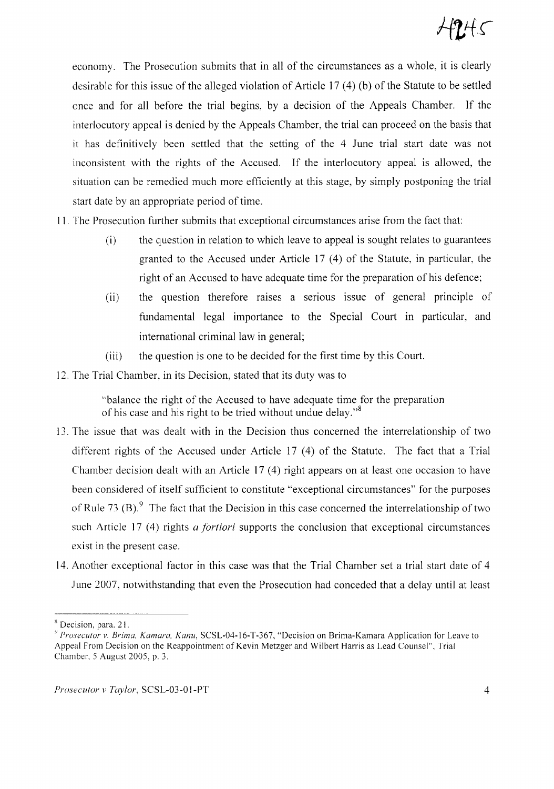economy. The Prosecution submits that in all of the circumstances as a whole, it is clearly desirable for this issue of the alleged violation of Article 17  $(4)$  (b) of the Statute to be settled once and for all before the trial begins, by a decision of the Appeals Chamber. If the interlocutory appeal is denied by the Appeals Chamber, the trial can proceed on the basis that it has definitively been settled that the setting of the 4 June trial start date was not inconsistent with the rights of the Accused. If the interlocutory appeal is allowed, the situation can be remedied much more efficiently at this stage, by simply postponing the trial start date by an appropriate period of time.

- 11. The Prosecution further submits that exceptional circumstances arise from the fact that:
	- (i) the question in relation to which leave to appeal is sought relates to guarantees granted to the Accused under Article 17 (4) of the Statute, in particular, the right of an Accused to have adequate time for the preparation of his defence;
	- (ii) the question therefore raises a serious issue of general principle of fundamental legal importance to the Special Court in particular, and international criminal law in general;
	- (iii) the question is one to be decided for the first time by this Court.
- 12. The Trial Chamber, in its Decision, stated that its duty was to

"balance the right of the Accused to have adequate time for the preparation of his case and his right to be tried without undue delay."<sup>8</sup>

- 13. The issue that was dealt with in the Decision thus concerned the interrelationship of two different rights of the Accused under Article 17 (4) of the Statute. The fact that a Trial Chamber decision dealt with an Article 17 (4) right appears on at least one occasion to have been considered of itself sufficient to constitute "exceptional circumstances" for the purposes of Rule 73 (B). $9\text{ }$  The fact that the Decision in this case concerned the interrelationship of two such Article 17 (4) rights *a fortiori* supports the conclusion that exceptional circumstances exist in the present case.
- 14. Another exceptional factor in this case was that the Trial Chamber set a trial start date of 4 June 2007, notwithstanding that even the Prosecution had conceded that a delay until at least

<sup>&</sup>lt;sup>8</sup> Decision, para. 21.

<sup>&#</sup>x27;) *Prosecutor v. Brima, Kamara, Kanu,* SCSL-04-16-T-367, "Decision on Brima-Kamara Application for Leave to Appeal From Decision on the Reappointment of Kevin Metzger and Wilbert Harris as Lead Counsel". Trial Chamber. 5 August 2005, p. 3.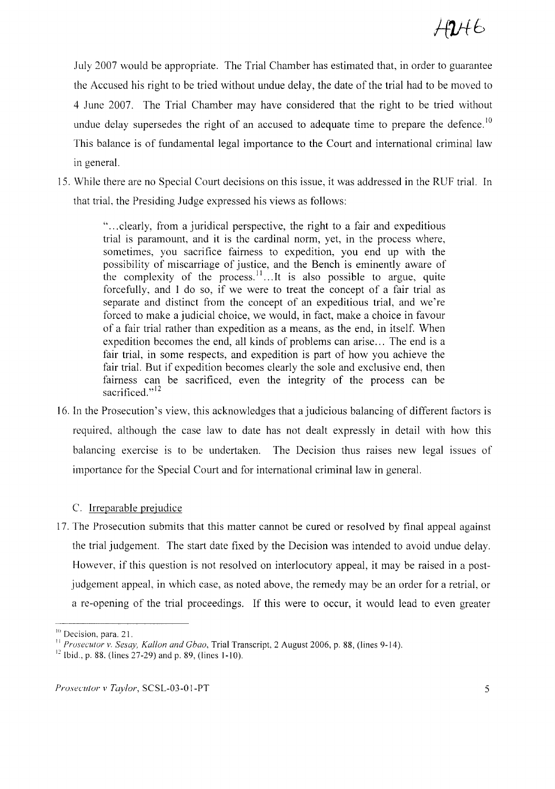July 2007 would be appropriate. The Trial Chamber has estimated that, in order to guarantee the Accused his right to be tried without undue delay, the date of the trial had to be moved to 4 June 2007. The Trial Chamber may have considered that the right to be tried without undue delay supersedes the right of an accused to adequate time to prepare the defence.<sup>10</sup> This balance is of fundamental legal importance to the Court and international criminal law in general.

15. While there are no Special Court decisions on this issue, it was addressed in the RUF trial. In that trial, the Presiding Judge expressed his views as follows:

> "... clearly, from a juridical perspective, the right to a fair and expeditious trial is paramount, and it is the cardinal norm, yet, in the process where, sometimes, you sacrifice fairness to expedition, you end up with the possibility of miscarriage of justice, and the Bench is eminently aware of the complexity of the process.  $11$ ...It is also possible to argue, quite forcefully, and I do so, if we were to treat the concept of a fair trial as separate and distinct from the concept of an expeditious trial, and we're forced to make a judicial choice, we would, in fact, make a choice in favour of a fair trial rather than expedition as a means, as the end, in itself. When expedition becomes the end, all kinds of problems can arise... The end is a fair trial, in some respects, and expedition is part of how you achieve the fair trial. But if expedition becomes clearly the sole and exclusive end, then fairness can be sacrificed, even the integrity of the process can be sacrificed."<sup>12</sup>

16. In the Prosecution's view, this acknowledges that a judicious balancing of different factors is required, although the case law to date has not dealt expressly in detail with how this balancing exercise is to be undertaken. The Decision thus raises new legal issues of importance for the Special Court and for international criminal law in general.

## C. Irreparable prejudice

17. The Prosecution submits that this matter cannot be cured or resolved by final appeal against the trial judgement. The start date fixed by the Decision was intended to avoid undue delay. However, if this question is not resolved on interlocutory appeal, it may be raised in a postjudgement appeal, in which case, as noted above, the remedy may be an order for a retrial, or a re-opening of the trial proceedings. If this were to occur, it would lead to even greater

 $10$  Decision, para. 21.

II *Prosecutor v. Sesay, Kallon and Chao,* Trial Transcript, 2 August 2006, p. 88, (lines 9-14).

<sup>&</sup>lt;sup>12</sup> Ibid., p. 88, (lines 27-29) and p. 89, (lines 1-10).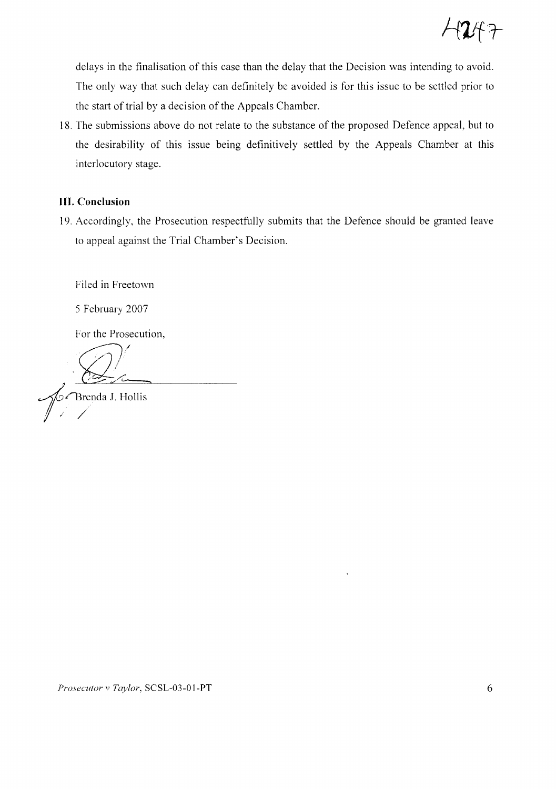delays in the finalisation of this case than the delay that the Decision was intending to avoid. The only way that such delay can definitely be avoided is for this issue to be settled prior to the start of trial by a decision of the Appeals Chamber.

18. The submissions above do not relate to the substance of the proposed Defence appeal, but to the desirability of this issue being definitively settled by the Appeals Chamber at this interlocutory stage.

# **III. Conclusion**

19. Accordingly, the Prosecution respectfully submits that the Defence should be granted leave to appeal against the Trial Chamber's Decision.

Filed in Freetown

*5* February 2007

For the Prosecution,

 $\bigotimes$  $\mathbb{Z}$ 

angles Thenda J. Hollis<br>
1

*Prosecutor v Taylor*, SCSL-03-01-PT 6